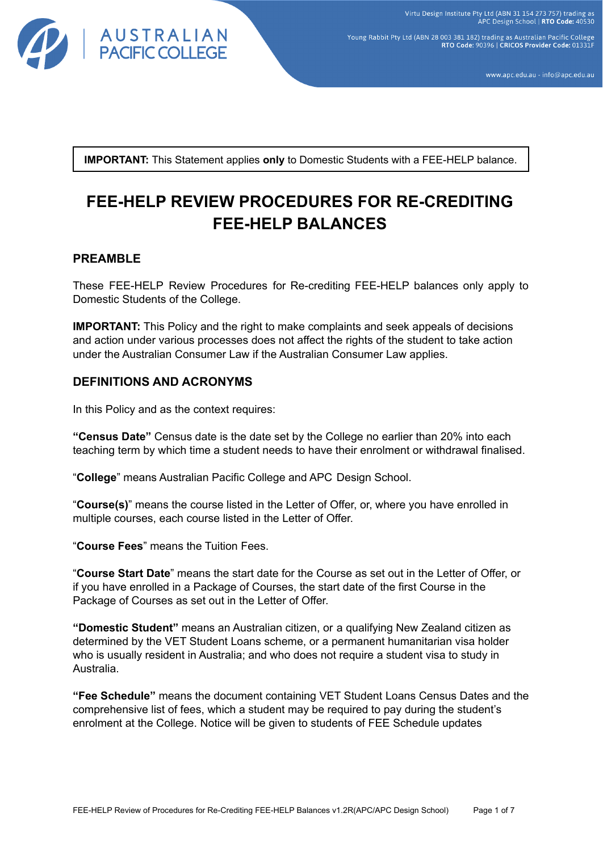

Young Rabbit Pty Ltd (ABN 28 003 381 182) trading as Australian Pacific College RTO Code: 90396 | CRICOS Provider Code: 01331

www.apc.edu.au - info@apc.edu.au

**IMPORTANT:** This Statement applies **only** to Domestic Students with a FEE-HELP balance.

# **FEE-HELP REVIEW PROCEDURES FOR RE-CREDITING FEE-HELP BALANCES**

# **PREAMBLE**

These FEE-HELP Review Procedures for Re-crediting FEE-HELP balances only apply to Domestic Students of the College.

**IMPORTANT:** This Policy and the right to make complaints and seek appeals of decisions and action under various processes does not affect the rights of the student to take action under the Australian Consumer Law if the Australian Consumer Law applies.

# **DEFINITIONS AND ACRONYMS**

In this Policy and as the context requires:

**"Census Date"** Census date is the date set by the College no earlier than 20% into each teaching term by which time a student needs to have their enrolment or withdrawal finalised.

"**College**" means Australian Pacific College and APC Design School.

"**Course(s)**" means the course listed in the Letter of Offer, or, where you have enrolled in multiple courses, each course listed in the Letter of Offer.

"**Course Fees**" means the Tuition Fees.

"**Course Start Date**" means the start date for the Course as set out in the Letter of Offer, or if you have enrolled in a Package of Courses, the start date of the first Course in the Package of Courses as set out in the Letter of Offer.

**"Domestic Student"** means an Australian citizen, or a qualifying New Zealand citizen as determined by the VET Student Loans scheme, or a permanent humanitarian visa holder who is usually resident in Australia; and who does not require a student visa to study in Australia.

**"Fee Schedule"** means the document containing VET Student Loans Census Dates and the comprehensive list of fees, which a student may be required to pay during the student's enrolment at the College. Notice will be given to students of FEE Schedule updates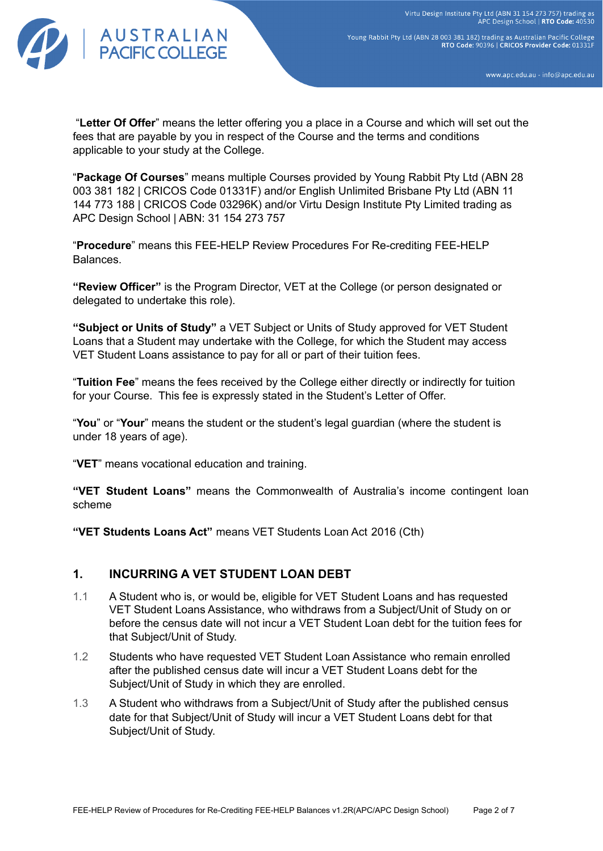

Young Rabbit Pty Ltd (ABN 28 003 381 182) trading as Australian Pacific College<br>RTO Code: 90396 | CRICOS Provider Code: 01331F

www.apc.edu.au - info@apc.edu.au

"**Letter Of Offer**" means the letter offering you a place in a Course and which will set out the fees that are payable by you in respect of the Course and the terms and conditions applicable to your study at the College.

"**Package Of Courses**" means multiple Courses provided by Young Rabbit Pty Ltd (ABN 28 003 381 182 | CRICOS Code 01331F) and/or English Unlimited Brisbane Pty Ltd (ABN 11 144 773 188 | CRICOS Code 03296K) and/or Virtu Design Institute Pty Limited trading as APC Design School | ABN: 31 154 273 757

"**Procedure**" means this FEE-HELP Review Procedures For Re-crediting FEE-HELP Balances.

**"Review Officer"** is the Program Director, VET at the College (or person designated or delegated to undertake this role).

**"Subject or Units of Study"** a VET Subject or Units of Study approved for VET Student Loans that a Student may undertake with the College, for which the Student may access VET Student Loans assistance to pay for all or part of their tuition fees.

"**Tuition Fee**" means the fees received by the College either directly or indirectly for tuition for your Course. This fee is expressly stated in the Student's Letter of Offer.

"**You**" or "**Your**" means the student or the student's legal guardian (where the student is under 18 years of age).

"**VET**" means vocational education and training.

**"VET Student Loans"** means the Commonwealth of Australia's income contingent loan scheme

**"VET Students Loans Act"** means VET Students Loan Act 2016 (Cth)

## **1. INCURRING A VET STUDENT LOAN DEBT**

- 1.1 A Student who is, or would be, eligible for VET Student Loans and has requested VET Student Loans Assistance, who withdraws from a Subject/Unit of Study on or before the census date will not incur a VET Student Loan debt for the tuition fees for that Subject/Unit of Study.
- 1.2 Students who have requested VET Student Loan Assistance who remain enrolled after the published census date will incur a VET Student Loans debt for the Subject/Unit of Study in which they are enrolled.
- 1.3 A Student who withdraws from a Subject/Unit of Study after the published census date for that Subject/Unit of Study will incur a VET Student Loans debt for that Subject/Unit of Study.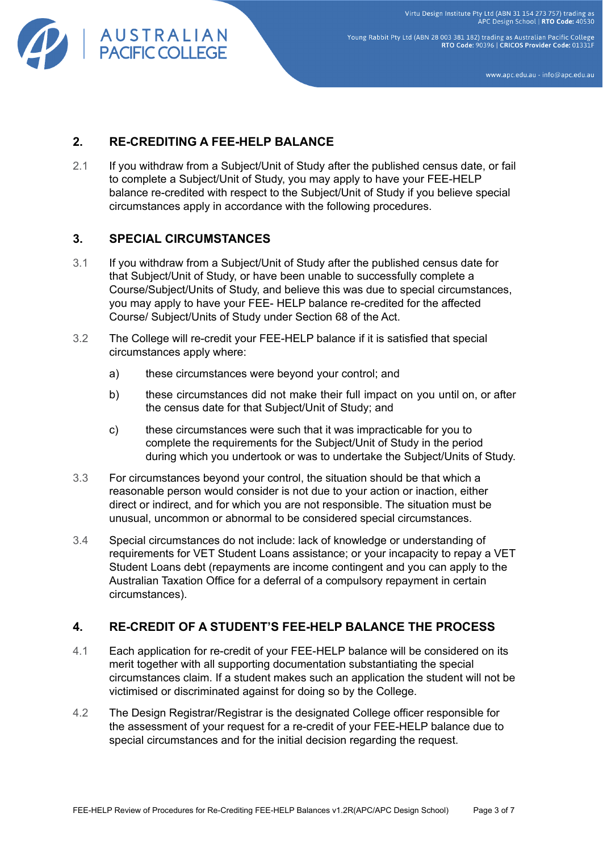

Young Rabbit Pty Ltd (ABN 28 003 381 182) trading as Australian Pacific College RTO Code: 90396 | CRICOS Provider Code: 01331F

www.apc.edu.au - info@apc.edu.au

# **2. RE-CREDITING A FEE-HELP BALANCE**

2.1 If you withdraw from a Subject/Unit of Study after the published census date, or fail to complete a Subject/Unit of Study, you may apply to have your FEE-HELP balance re-credited with respect to the Subject/Unit of Study if you believe special circumstances apply in accordance with the following procedures.

# **3. SPECIAL CIRCUMSTANCES**

- 3.1 If you withdraw from a Subject/Unit of Study after the published census date for that Subject/Unit of Study, or have been unable to successfully complete a Course/Subject/Units of Study, and believe this was due to special circumstances, you may apply to have your FEE- HELP balance re-credited for the affected Course/ Subject/Units of Study under Section 68 of the Act.
- 3.2 The College will re-credit your FEE-HELP balance if it is satisfied that special circumstances apply where:
	- a) these circumstances were beyond your control; and
	- b) these circumstances did not make their full impact on you until on, or after the census date for that Subject/Unit of Study; and
	- c) these circumstances were such that it was impracticable for you to complete the requirements for the Subject/Unit of Study in the period during which you undertook or was to undertake the Subject/Units of Study.
- 3.3 For circumstances beyond your control, the situation should be that which a reasonable person would consider is not due to your action or inaction, either direct or indirect, and for which you are not responsible. The situation must be unusual, uncommon or abnormal to be considered special circumstances.
- 3.4 Special circumstances do not include: lack of knowledge or understanding of requirements for VET Student Loans assistance; or your incapacity to repay a VET Student Loans debt (repayments are income contingent and you can apply to the Australian Taxation Office for a deferral of a compulsory repayment in certain circumstances).

# **4. RE-CREDIT OF A STUDENT'S FEE-HELP BALANCE THE PROCESS**

- 4.1 Each application for re-credit of your FEE-HELP balance will be considered on its merit together with all supporting documentation substantiating the special circumstances claim. If a student makes such an application the student will not be victimised or discriminated against for doing so by the College.
- 4.2 The Design Registrar/Registrar is the designated College officer responsible for the assessment of your request for a re-credit of your FEE-HELP balance due to special circumstances and for the initial decision regarding the request.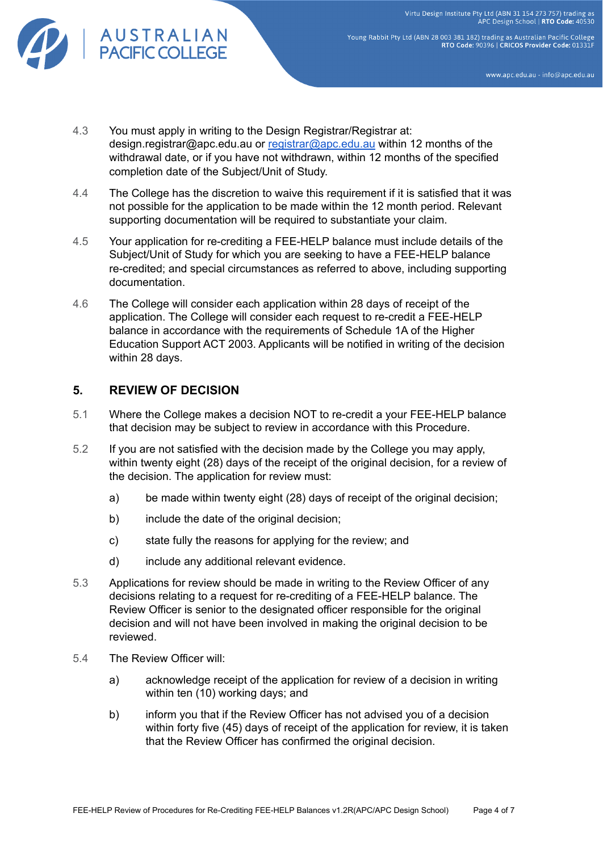

Young Rabbit Pty Ltd (ABN 28 003 381 182) trading as Australian Pacific College<br>RTO Code: 90396 | CRICOS Provider Code: 01331F

www.apc.edu.au - info@apc.edu.au

- 4.3 You must apply in writing to the Design Registrar/Registrar at: design.registrar@apc.edu.au or [registrar@apc.edu.au](mailto:registrar@apc.edu.au) within 12 months of the withdrawal date, or if you have not withdrawn, within 12 months of the specified completion date of the Subject/Unit of Study.
- 4.4 The College has the discretion to waive this requirement if it is satisfied that it was not possible for the application to be made within the 12 month period. Relevant supporting documentation will be required to substantiate your claim.
- 4.5 Your application for re-crediting a FEE-HELP balance must include details of the Subject/Unit of Study for which you are seeking to have a FEE-HELP balance re-credited; and special circumstances as referred to above, including supporting documentation.
- 4.6 The College will consider each application within 28 days of receipt of the application. The College will consider each request to re-credit a FEE-HELP balance in accordance with the requirements of Schedule 1A of the Higher Education Support ACT 2003. Applicants will be notified in writing of the decision within 28 days.

## **5. REVIEW OF DECISION**

- 5.1 Where the College makes a decision NOT to re-credit a your FEE-HELP balance that decision may be subject to review in accordance with this Procedure.
- 5.2 If you are not satisfied with the decision made by the College you may apply, within twenty eight (28) days of the receipt of the original decision, for a review of the decision. The application for review must:
	- a) be made within twenty eight (28) days of receipt of the original decision;
	- b) include the date of the original decision;
	- c) state fully the reasons for applying for the review; and
	- d) include any additional relevant evidence.
- 5.3 Applications for review should be made in writing to the Review Officer of any decisions relating to a request for re-crediting of a FEE-HELP balance. The Review Officer is senior to the designated officer responsible for the original decision and will not have been involved in making the original decision to be reviewed.
- 5.4 The Review Officer will:
	- a) acknowledge receipt of the application for review of a decision in writing within ten (10) working days; and
	- b) inform you that if the Review Officer has not advised you of a decision within forty five (45) days of receipt of the application for review, it is taken that the Review Officer has confirmed the original decision.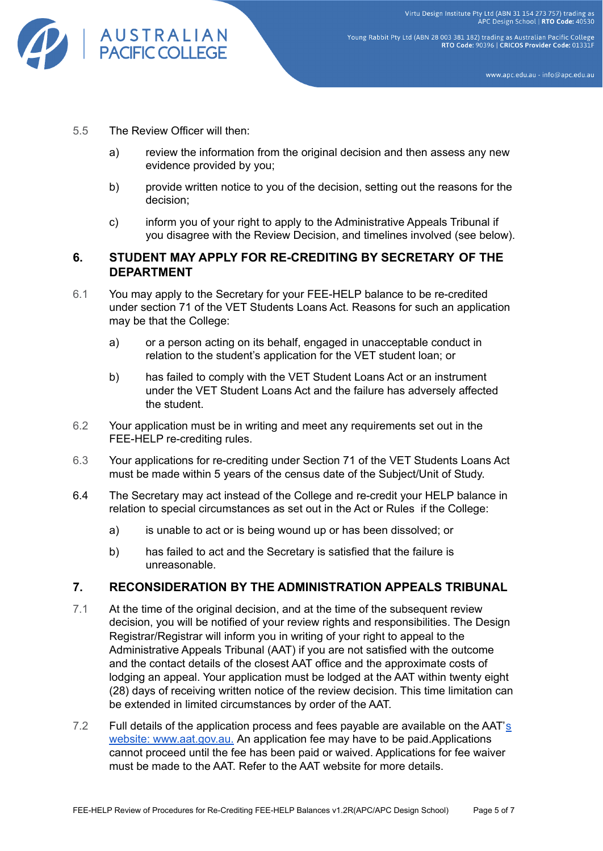

Young Rabbit Pty Ltd (ABN 28 003 381 182) trading as Australian Pacific College<br>RTO Code: 90396 | CRICOS Provider Code: 01331F

www.apc.edu.au - info@apc.edu.au

- 5.5 The Review Officer will then:
	- a) review the information from the original decision and then assess any new evidence provided by you;
	- b) provide written notice to you of the decision, setting out the reasons for the decision;
	- c) inform you of your right to apply to the Administrative Appeals Tribunal if you disagree with the Review Decision, and timelines involved (see below).

## **6. STUDENT MAY APPLY FOR RE-CREDITING BY SECRETARY OF THE DEPARTMENT**

- 6.1 You may apply to the Secretary for your FEE-HELP balance to be re-credited under section 71 of the VET Students Loans Act. Reasons for such an application may be that the College:
	- a) or a person acting on its behalf, engaged in unacceptable conduct in relation to the student's application for the VET student loan; or
	- b) has failed to comply with the VET Student Loans Act or an instrument under the VET Student Loans Act and the failure has adversely affected the student.
- 6.2 Your application must be in writing and meet any requirements set out in the FEE-HELP re-crediting rules.
- 6.3 Your applications for re-crediting under Section 71 of the VET Students Loans Act must be made within 5 years of the census date of the Subject/Unit of Study.
- 6.4 The Secretary may act instead of the College and re-credit your HELP balance in relation to special circumstances as set out in the Act or Rules if the College:
	- a) is unable to act or is being wound up or has been dissolved; or
	- b) has failed to act and the Secretary is satisfied that the failure is unreasonable.

#### **7. RECONSIDERATION BY THE ADMINISTRATION APPEALS TRIBUNAL**

- 7.1 At the time of the original decision, and at the time of the subsequent review decision, you will be notified of your review rights and responsibilities. The Design Registrar/Registrar will inform you in writing of your right to appeal to the Administrative Appeals Tribunal (AAT) if you are not satisfied with the outcome and the contact details of the closest AAT office and the approximate costs of lodging an appeal. Your application must be lodged at the AAT within twenty eight (28) days of receiving written notice of the review decision. This time limitation can be extended in limited circumstances by order of the AAT.
- 7.2 Full detail[s](http://www.aat.gov.au/) of the application process and fees payable are available on the AAT's website: [www.aat.gov.au.](http://www.aat.gov.au/) An application fee may have to be paid.Applications cannot proceed until the fee has been paid or waived. Applications for fee waiver must be made to the AAT. Refer to the AAT website for more details.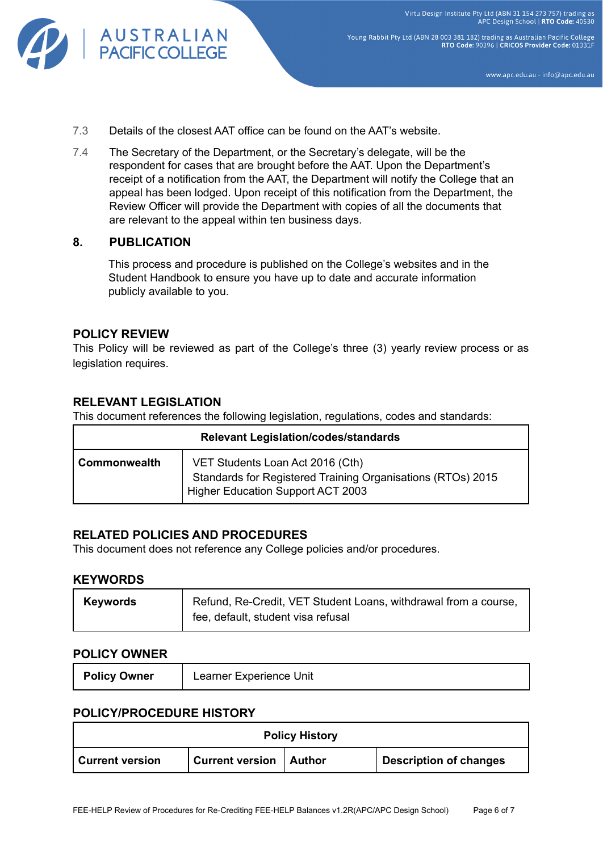

Young Rabbit Pty Ltd (ABN 28 003 381 182) trading as Australian Pacific College RTO Code: 90396 | CRICOS Provider Code: 01331F

www.apc.edu.au - info@apc.edu.au

- 7.3 Details of the closest AAT office can be found on the AAT's website.
- 7.4 The Secretary of the Department, or the Secretary's delegate, will be the respondent for cases that are brought before the AAT. Upon the Department's receipt of a notification from the AAT, the Department will notify the College that an appeal has been lodged. Upon receipt of this notification from the Department, the Review Officer will provide the Department with copies of all the documents that are relevant to the appeal within ten business days.

#### **8. PUBLICATION**

This process and procedure is published on the College's websites and in the Student Handbook to ensure you have up to date and accurate information publicly available to you.

#### **POLICY REVIEW**

This Policy will be reviewed as part of the College's three (3) yearly review process or as legislation requires.

## **RELEVANT LEGISLATION**

This document references the following legislation, regulations, codes and standards:

| <b>Relevant Legislation/codes/standards</b> |                                                                                                                                      |  |  |  |
|---------------------------------------------|--------------------------------------------------------------------------------------------------------------------------------------|--|--|--|
| Commonwealth                                | VET Students Loan Act 2016 (Cth)<br>Standards for Registered Training Organisations (RTOs) 2015<br>Higher Education Support ACT 2003 |  |  |  |

#### **RELATED POLICIES AND PROCEDURES**

This document does not reference any College policies and/or procedures.

#### **KEYWORDS**

| <b>Keywords</b> | Refund, Re-Credit, VET Student Loans, withdrawal from a course, |
|-----------------|-----------------------------------------------------------------|
|                 | fee, default, student visa refusal                              |

#### **POLICY OWNER**

| Learner Experience Unit |
|-------------------------|
|                         |

#### **POLICY/PROCEDURE HISTORY**

| <b>Policy History</b>  |                                 |  |                               |  |  |  |
|------------------------|---------------------------------|--|-------------------------------|--|--|--|
| <b>Current version</b> | <b>Current version   Author</b> |  | <b>Description of changes</b> |  |  |  |